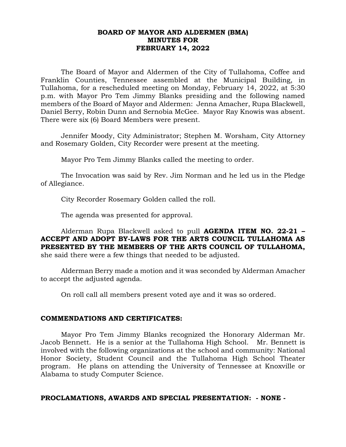### **BOARD OF MAYOR AND ALDERMEN (BMA) MINUTES FOR FEBRUARY 14, 2022**

The Board of Mayor and Aldermen of the City of Tullahoma, Coffee and Franklin Counties, Tennessee assembled at the Municipal Building, in Tullahoma, for a rescheduled meeting on Monday, February 14, 2022, at 5:30 p.m. with Mayor Pro Tem Jimmy Blanks presiding and the following named members of the Board of Mayor and Aldermen: Jenna Amacher, Rupa Blackwell, Daniel Berry, Robin Dunn and Sernobia McGee. Mayor Ray Knowis was absent. There were six (6) Board Members were present.

Jennifer Moody, City Administrator; Stephen M. Worsham, City Attorney and Rosemary Golden, City Recorder were present at the meeting.

Mayor Pro Tem Jimmy Blanks called the meeting to order.

The Invocation was said by Rev. Jim Norman and he led us in the Pledge of Allegiance.

City Recorder Rosemary Golden called the roll.

The agenda was presented for approval.

Alderman Rupa Blackwell asked to pull **AGENDA ITEM NO. 22-21 – ACCEPT AND ADOPT BY-LAWS FOR THE ARTS COUNCIL TULLAHOMA AS PRESENTED BY THE MEMBERS OF THE ARTS COUNCIL OF TULLAHOMA,**  she said there were a few things that needed to be adjusted.

Alderman Berry made a motion and it was seconded by Alderman Amacher to accept the adjusted agenda.

On roll call all members present voted aye and it was so ordered.

#### **COMMENDATIONS AND CERTIFICATES:**

Mayor Pro Tem Jimmy Blanks recognized the Honorary Alderman Mr. Jacob Bennett. He is a senior at the Tullahoma High School. Mr. Bennett is involved with the following organizations at the school and community: National Honor Society, Student Council and the Tullahoma High School Theater program. He plans on attending the University of Tennessee at Knoxville or Alabama to study Computer Science.

## **PROCLAMATIONS, AWARDS AND SPECIAL PRESENTATION: - NONE -**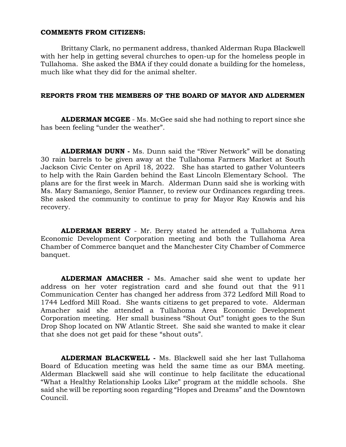#### **COMMENTS FROM CITIZENS:**

Brittany Clark, no permanent address, thanked Alderman Rupa Blackwell with her help in getting several churches to open-up for the homeless people in Tullahoma. She asked the BMA if they could donate a building for the homeless, much like what they did for the animal shelter.

#### **REPORTS FROM THE MEMBERS OF THE BOARD OF MAYOR AND ALDERMEN**

**ALDERMAN MCGEE** - Ms. McGee said she had nothing to report since she has been feeling "under the weather".

**ALDERMAN DUNN -** Ms. Dunn said the "River Network" will be donating 30 rain barrels to be given away at the Tullahoma Farmers Market at South Jackson Civic Center on April 18, 2022. She has started to gather Volunteers to help with the Rain Garden behind the East Lincoln Elementary School. The plans are for the first week in March. Alderman Dunn said she is working with Ms. Mary Samaniego, Senior Planner, to review our Ordinances regarding trees. She asked the community to continue to pray for Mayor Ray Knowis and his recovery.

**ALDERMAN BERRY** - Mr. Berry stated he attended a Tullahoma Area Economic Development Corporation meeting and both the Tullahoma Area Chamber of Commerce banquet and the Manchester City Chamber of Commerce banquet.

**ALDERMAN AMACHER -** Ms. Amacher said she went to update her address on her voter registration card and she found out that the 911 Communication Center has changed her address from 372 Ledford Mill Road to 1744 Ledford Mill Road. She wants citizens to get prepared to vote. Alderman Amacher said she attended a Tullahoma Area Economic Development Corporation meeting. Her small business "Shout Out" tonight goes to the Sun Drop Shop located on NW Atlantic Street. She said she wanted to make it clear that she does not get paid for these "shout outs".

**ALDERMAN BLACKWELL -** Ms. Blackwell said she her last Tullahoma Board of Education meeting was held the same time as our BMA meeting. Alderman Blackwell said she will continue to help facilitate the educational "What a Healthy Relationship Looks Like" program at the middle schools. She said she will be reporting soon regarding "Hopes and Dreams" and the Downtown Council.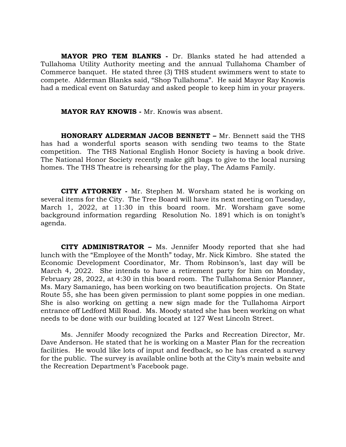**MAYOR PRO TEM BLANKS -** Dr. Blanks stated he had attended a Tullahoma Utility Authority meeting and the annual Tullahoma Chamber of Commerce banquet. He stated three (3) THS student swimmers went to state to compete. Alderman Blanks said, "Shop Tullahoma". He said Mayor Ray Knowis had a medical event on Saturday and asked people to keep him in your prayers.

**MAYOR RAY KNOWIS -** Mr. Knowis was absent.

**HONORARY ALDERMAN JACOB BENNETT –** Mr. Bennett said the THS has had a wonderful sports season with sending two teams to the State competition. The THS National English Honor Society is having a book drive. The National Honor Society recently make gift bags to give to the local nursing homes. The THS Theatre is rehearsing for the play, The Adams Family.

 **CITY ATTORNEY -** Mr. Stephen M. Worsham stated he is working on several items for the City. The Tree Board will have its next meeting on Tuesday, March 1, 2022, at 11:30 in this board room. Mr. Worsham gave some background information regarding Resolution No. 1891 which is on tonight's agenda.

**CITY ADMINISTRATOR –** Ms. Jennifer Moody reported that she had lunch with the "Employee of the Month" today, Mr. Nick Kimbro. She stated the Economic Development Coordinator, Mr. Thom Robinson's, last day will be March 4, 2022. She intends to have a retirement party for him on Monday, February 28, 2022, at 4:30 in this board room. The Tullahoma Senior Planner, Ms. Mary Samaniego, has been working on two beautification projects. On State Route 55, she has been given permission to plant some poppies in one median. She is also working on getting a new sign made for the Tullahoma Airport entrance off Ledford Mill Road. Ms. Moody stated she has been working on what needs to be done with our building located at 127 West Lincoln Street.

Ms. Jennifer Moody recognized the Parks and Recreation Director, Mr. Dave Anderson. He stated that he is working on a Master Plan for the recreation facilities. He would like lots of input and feedback, so he has created a survey for the public. The survey is available online both at the City's main website and the Recreation Department's Facebook page.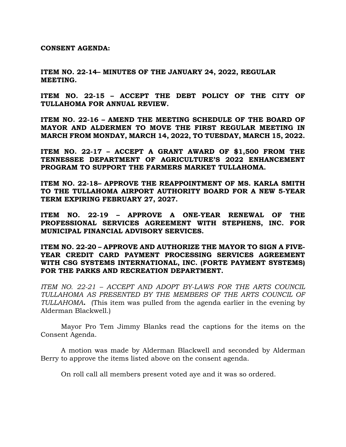**CONSENT AGENDA:**

**ITEM NO. 22-14– MINUTES OF THE JANUARY 24, 2022, REGULAR MEETING.**

**ITEM NO. 22-15 – ACCEPT THE DEBT POLICY OF THE CITY OF TULLAHOMA FOR ANNUAL REVIEW.**

**ITEM NO. 22-16 – AMEND THE MEETING SCHEDULE OF THE BOARD OF MAYOR AND ALDERMEN TO MOVE THE FIRST REGULAR MEETING IN MARCH FROM MONDAY, MARCH 14, 2022, TO TUESDAY, MARCH 15, 2022.**

**ITEM NO. 22-17 – ACCEPT A GRANT AWARD OF \$1,500 FROM THE TENNESSEE DEPARTMENT OF AGRICULTURE'S 2022 ENHANCEMENT PROGRAM TO SUPPORT THE FARMERS MARKET TULLAHOMA.**

**ITEM NO. 22-18– APPROVE THE REAPPOINTMENT OF MS. KARLA SMITH TO THE TULLAHOMA AIRPORT AUTHORITY BOARD FOR A NEW 5-YEAR TERM EXPIRING FEBRUARY 27, 2027.**

**ITEM NO. 22-19 – APPROVE A ONE-YEAR RENEWAL OF THE PROFESSIONAL SERVICES AGREEMENT WITH STEPHENS, INC. FOR MUNICIPAL FINANCIAL ADVISORY SERVICES.**

**ITEM NO. 22-20 – APPROVE AND AUTHORIZE THE MAYOR TO SIGN A FIVE-YEAR CREDIT CARD PAYMENT PROCESSING SERVICES AGREEMENT WITH CSG SYSTEMS INTERNATIONAL, INC. (FORTE PAYMENT SYSTEMS) FOR THE PARKS AND RECREATION DEPARTMENT.**

*ITEM NO. 22-21 – ACCEPT AND ADOPT BY-LAWS FOR THE ARTS COUNCIL TULLAHOMA AS PRESENTED BY THE MEMBERS OF THE ARTS COUNCIL OF TULLAHOMA***.** (This item was pulled from the agenda earlier in the evening by Alderman Blackwell.)

Mayor Pro Tem Jimmy Blanks read the captions for the items on the Consent Agenda.

A motion was made by Alderman Blackwell and seconded by Alderman Berry to approve the items listed above on the consent agenda.

On roll call all members present voted aye and it was so ordered.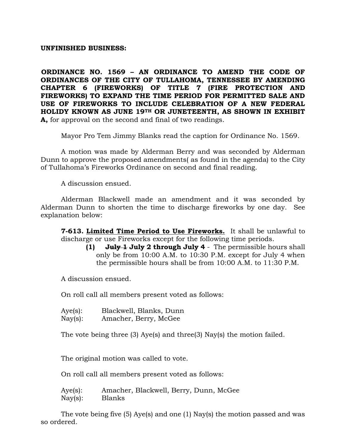### **UNFINISHED BUSINESS:**

**ORDINANCE NO. 1569 – AN ORDINANCE TO AMEND THE CODE OF ORDINANCES OF THE CITY OF TULLAHOMA, TENNESSEE BY AMENDING CHAPTER 6 (FIREWORKS) OF TITLE 7 (FIRE PROTECTION AND FIREWORKS) TO EXPAND THE TIME PERIOD FOR PERMITTED SALE AND USE OF FIREWORKS TO INCLUDE CELEBRATION OF A NEW FEDERAL HOLIDY KNOWN AS JUNE 19TH OR JUNETEENTH, AS SHOWN IN EXHIBIT A,** for approval on the second and final of two readings.

Mayor Pro Tem Jimmy Blanks read the caption for Ordinance No. 1569.

A motion was made by Alderman Berry and was seconded by Alderman Dunn to approve the proposed amendments( as found in the agenda) to the City of Tullahoma's Fireworks Ordinance on second and final reading.

A discussion ensued.

Alderman Blackwell made an amendment and it was seconded by Alderman Dunn to shorten the time to discharge fireworks by one day. See explanation below:

**7-613. Limited Time Period to Use Fireworks.** It shall be unlawful to discharge or use Fireworks except for the following time periods.

**(1) July 1 July 2 through July 4** - The permissible hours shall only be from 10:00 A.M. to 10:30 P.M. except for July 4 when the permissible hours shall be from 10:00 A.M. to 11:30 P.M.

A discussion ensued.

On roll call all members present voted as follows:

Aye(s): Blackwell, Blanks, Dunn Nay(s): Amacher, Berry, McGee

The vote being three (3) Aye(s) and three(3) Nay(s) the motion failed.

The original motion was called to vote.

On roll call all members present voted as follows:

Aye(s): Amacher, Blackwell, Berry, Dunn, McGee Nay(s): Blanks

The vote being five (5) Aye(s) and one (1) Nay(s) the motion passed and was so ordered.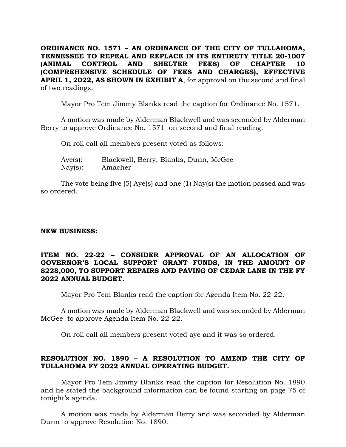**ORDINANCE NO. 1571 – AN ORDINANCE OF THE CITY OF TULLAHOMA, TENNESSEE TO REPEAL AND REPLACE IN ITS ENTIRETY TITLE 20-1007 (ANIMAL CONTROL AND SHELTER FEES) OF CHAPTER 10 (COMPREHENSIVE SCHEDULE OF FEES AND CHARGES), EFFECTIVE APRIL 1, 2022, AS SHOWN IN EXHIBIT A**, for approval on the second and final of two readings.

Mayor Pro Tem Jimmy Blanks read the caption for Ordinance No. 1571.

A motion was made by Alderman Blackwell and was seconded by Alderman Berry to approve Ordinance No. 1571 on second and final reading.

On roll call all members present voted as follows:

| Aye(s):           | Blackwell, Berry, Blanks, Dunn, McGee |  |  |
|-------------------|---------------------------------------|--|--|
| $\text{Nay}(s)$ : | Amacher                               |  |  |

The vote being five (5) Aye(s) and one (1) Nay(s) the motion passed and was so ordered.

## **NEW BUSINESS:**

### **ITEM NO. 22-22 – CONSIDER APPROVAL OF AN ALLOCATION OF GOVERNOR'S LOCAL SUPPORT GRANT FUNDS, IN THE AMOUNT OF \$228,000, TO SUPPORT REPAIRS AND PAVING OF CEDAR LANE IN THE FY 2022 ANNUAL BUDGET.**

Mayor Pro Tem Blanks read the caption for Agenda Item No. 22-22.

A motion was made by Alderman Blackwell and was seconded by Alderman McGee to approve Agenda Item No. 22-22.

On roll call all members present voted aye and it was so ordered.

# **RESOLUTION NO. 1890 – A RESOLUTION TO AMEND THE CITY OF TULLAHOMA FY 2022 ANNUAL OPERATING BUDGET.**

Mayor Pro Tem Jimmy Blanks read the caption for Resolution No. 1890 and he stated the background information can be found starting on page 75 of tonight's agenda.

A motion was made by Alderman Berry and was seconded by Alderman Dunn to approve Resolution No. 1890.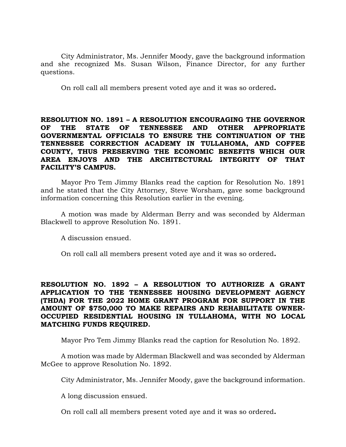City Administrator, Ms. Jennifer Moody, gave the background information and she recognized Ms. Susan Wilson, Finance Director, for any further questions.

On roll call all members present voted aye and it was so ordered**.**

## **RESOLUTION NO. 1891 – A RESOLUTION ENCOURAGING THE GOVERNOR OF THE STATE OF TENNESSEE AND OTHER APPROPRIATE GOVERNMENTAL OFFICIALS TO ENSURE THE CONTINUATION OF THE TENNESSEE CORRECTION ACADEMY IN TULLAHOMA, AND COFFEE COUNTY, THUS PRESERVING THE ECONOMIC BENEFITS WHICH OUR AREA ENJOYS AND THE ARCHITECTURAL INTEGRITY OF THAT FACILITY'S CAMPUS.**

Mayor Pro Tem Jimmy Blanks read the caption for Resolution No. 1891 and he stated that the City Attorney, Steve Worsham, gave some background information concerning this Resolution earlier in the evening.

A motion was made by Alderman Berry and was seconded by Alderman Blackwell to approve Resolution No. 1891.

A discussion ensued.

On roll call all members present voted aye and it was so ordered**.**

# **RESOLUTION NO. 1892 – A RESOLUTION TO AUTHORIZE A GRANT APPLICATION TO THE TENNESSEE HOUSING DEVELOPMENT AGENCY (THDA) FOR THE 2022 HOME GRANT PROGRAM FOR SUPPORT IN THE AMOUNT OF \$750,000 TO MAKE REPAIRS AND REHABILITATE OWNER-OCCUPIED RESIDENTIAL HOUSING IN TULLAHOMA, WITH NO LOCAL MATCHING FUNDS REQUIRED.**

Mayor Pro Tem Jimmy Blanks read the caption for Resolution No. 1892.

A motion was made by Alderman Blackwell and was seconded by Alderman McGee to approve Resolution No. 1892.

City Administrator, Ms. Jennifer Moody, gave the background information.

A long discussion ensued.

On roll call all members present voted aye and it was so ordered**.**